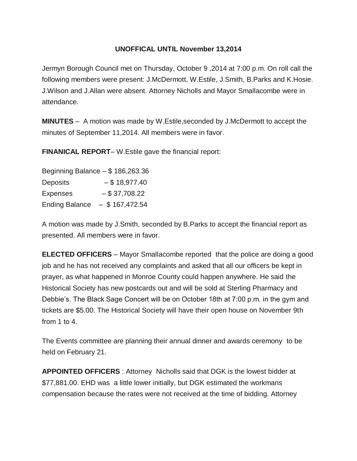## **UNOFFICAL UNTIL November 13,2014**

Jermyn Borough Council met on Thursday, October 9 ,2014 at 7:00 p.m. On roll call the following members were present: J.McDermott, W.Estile, J.Smith, B.Parks and K.Hosie. J.Wilson and J.Allan were absent. Attorney Nicholls and Mayor Smallacombe were in attendance.

**MINUTES** – A motion was made by W.Estile,seconded by J.McDermott to accept the minutes of September 11,2014. All members were in favor.

**FINANICAL REPORT**– W.Estile gave the financial report:

| Beginning Balance $-$ \$ 186,263.36 |                   |
|-------------------------------------|-------------------|
| <b>Deposits</b>                     | $-$ \$18,977.40   |
| <b>Expenses</b>                     | $-$ \$ 37,708.22  |
| <b>Ending Balance</b>               | $-$ \$ 167,472.54 |

A motion was made by J.Smith, seconded by B.Parks to accept the financial report as presented. All members were in favor.

**ELECTED OFFICERS** – Mayor Smallacombe reported that the police are doing a good job and he has not received any complaints and asked that all our officers be kept in prayer, as what happened in Monroe County could happen anywhere. He said the Historical Society has new postcards out and will be sold at Sterling Pharmacy and Debbie's. The Black Sage Concert will be on October 18th at 7:00 p.m. in the gym and tickets are \$5.00. The Historical Society will have their open house on November 9th from 1 to 4.

The Events committee are planning their annual dinner and awards ceremony to be held on February 21.

**APPOINTED OFFICERS** : Attorney Nicholls said that DGK is the lowest bidder at \$77,881.00. EHD was a little lower initially, but DGK estimated the workmans compensation because the rates were not received at the time of bidding. Attorney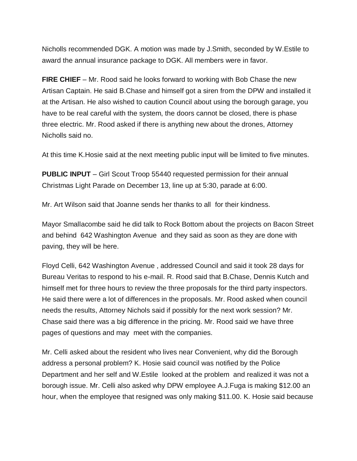Nicholls recommended DGK. A motion was made by J.Smith, seconded by W.Estile to award the annual insurance package to DGK. All members were in favor.

**FIRE CHIEF** – Mr. Rood said he looks forward to working with Bob Chase the new Artisan Captain. He said B.Chase and himself got a siren from the DPW and installed it at the Artisan. He also wished to caution Council about using the borough garage, you have to be real careful with the system, the doors cannot be closed, there is phase three electric. Mr. Rood asked if there is anything new about the drones, Attorney Nicholls said no.

At this time K.Hosie said at the next meeting public input will be limited to five minutes.

**PUBLIC INPUT** – Girl Scout Troop 55440 requested permission for their annual Christmas Light Parade on December 13, line up at 5:30, parade at 6:00.

Mr. Art Wilson said that Joanne sends her thanks to all for their kindness.

Mayor Smallacombe said he did talk to Rock Bottom about the projects on Bacon Street and behind 642 Washington Avenue and they said as soon as they are done with paving, they will be here.

Floyd Celli, 642 Washington Avenue , addressed Council and said it took 28 days for Bureau Veritas to respond to his e-mail. R. Rood said that B.Chase, Dennis Kutch and himself met for three hours to review the three proposals for the third party inspectors. He said there were a lot of differences in the proposals. Mr. Rood asked when council needs the results, Attorney Nichols said if possibly for the next work session? Mr. Chase said there was a big difference in the pricing. Mr. Rood said we have three pages of questions and may meet with the companies.

Mr. Celli asked about the resident who lives near Convenient, why did the Borough address a personal problem? K. Hosie said council was notified by the Police Department and her self and W.Estile looked at the problem and realized it was not a borough issue. Mr. Celli also asked why DPW employee A.J.Fuga is making \$12.00 an hour, when the employee that resigned was only making \$11.00. K. Hosie said because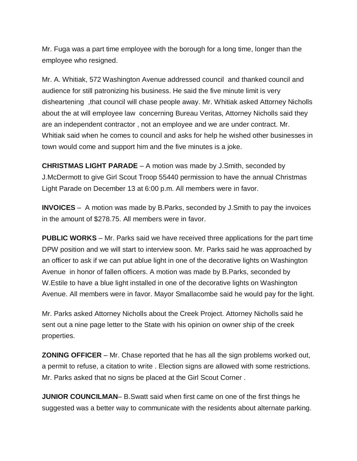Mr. Fuga was a part time employee with the borough for a long time, longer than the employee who resigned.

Mr. A. Whitiak, 572 Washington Avenue addressed council and thanked council and audience for still patronizing his business. He said the five minute limit is very disheartening ,that council will chase people away. Mr. Whitiak asked Attorney Nicholls about the at will employee law concerning Bureau Veritas, Attorney Nicholls said they are an independent contractor , not an employee and we are under contract. Mr. Whitiak said when he comes to council and asks for help he wished other businesses in town would come and support him and the five minutes is a joke.

**CHRISTMAS LIGHT PARADE** – A motion was made by J.Smith, seconded by J.McDermott to give Girl Scout Troop 55440 permission to have the annual Christmas Light Parade on December 13 at 6:00 p.m. All members were in favor.

**INVOICES** – A motion was made by B.Parks, seconded by J.Smith to pay the invoices in the amount of \$278.75. All members were in favor.

**PUBLIC WORKS** – Mr. Parks said we have received three applications for the part time DPW position and we will start to interview soon. Mr. Parks said he was approached by an officer to ask if we can put ablue light in one of the decorative lights on Washington Avenue in honor of fallen officers. A motion was made by B.Parks, seconded by W.Estile to have a blue light installed in one of the decorative lights on Washington Avenue. All members were in favor. Mayor Smallacombe said he would pay for the light.

Mr. Parks asked Attorney Nicholls about the Creek Project. Attorney Nicholls said he sent out a nine page letter to the State with his opinion on owner ship of the creek properties.

**ZONING OFFICER** – Mr. Chase reported that he has all the sign problems worked out, a permit to refuse, a citation to write . Election signs are allowed with some restrictions. Mr. Parks asked that no signs be placed at the Girl Scout Corner .

**JUNIOR COUNCILMAN**– B.Swatt said when first came on one of the first things he suggested was a better way to communicate with the residents about alternate parking.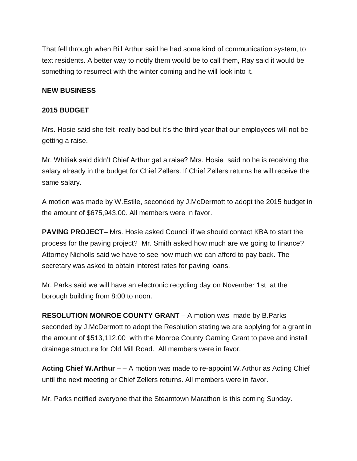That fell through when Bill Arthur said he had some kind of communication system, to text residents. A better way to notify them would be to call them, Ray said it would be something to resurrect with the winter coming and he will look into it.

#### **NEW BUSINESS**

#### **2015 BUDGET**

Mrs. Hosie said she felt really bad but it's the third year that our employees will not be getting a raise.

Mr. Whitiak said didn't Chief Arthur get a raise? Mrs. Hosie said no he is receiving the salary already in the budget for Chief Zellers. If Chief Zellers returns he will receive the same salary.

A motion was made by W.Estile, seconded by J.McDermott to adopt the 2015 budget in the amount of \$675,943.00. All members were in favor.

**PAVING PROJECT**– Mrs. Hosie asked Council if we should contact KBA to start the process for the paving project? Mr. Smith asked how much are we going to finance? Attorney Nicholls said we have to see how much we can afford to pay back. The secretary was asked to obtain interest rates for paving loans.

Mr. Parks said we will have an electronic recycling day on November 1st at the borough building from 8:00 to noon.

**RESOLUTION MONROE COUNTY GRANT** – A motion was made by B.Parks seconded by J.McDermott to adopt the Resolution stating we are applying for a grant in the amount of \$513,112.00 with the Monroe County Gaming Grant to pave and install drainage structure for Old Mill Road. All members were in favor.

**Acting Chief W.Arthur** – – A motion was made to re-appoint W.Arthur as Acting Chief until the next meeting or Chief Zellers returns. All members were in favor.

Mr. Parks notified everyone that the Steamtown Marathon is this coming Sunday.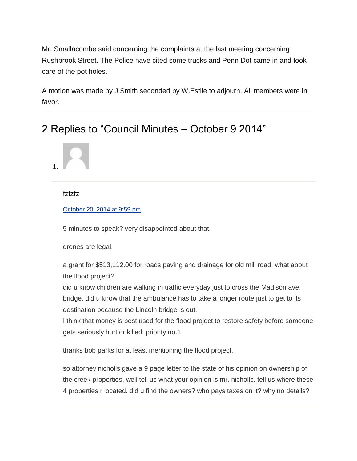Mr. Smallacombe said concerning the complaints at the last meeting concerning Rushbrook Street. The Police have cited some trucks and Penn Dot came in and took care of the pot holes.

A motion was made by J.Smith seconded by W.Estile to adjourn. All members were in favor.

# 2 Replies to "Council Minutes – October 9 2014"



### fzfzfz

October [20, 2014 at 9:59 pm](https://jermynpa.com/council-minutes-october-9-2014/#comment-1496)

5 minutes to speak? very disappointed about that.

drones are legal.

a grant for \$513,112.00 for roads paving and drainage for old mill road, what about the flood project?

did u know children are walking in traffic everyday just to cross the Madison ave. bridge. did u know that the ambulance has to take a longer route just to get to its destination because the Lincoln bridge is out.

I think that money is best used for the flood project to restore safety before someone gets seriously hurt or killed. priority no.1

thanks bob parks for at least mentioning the flood project.

so attorney nicholls gave a 9 page letter to the state of his opinion on ownership of the creek properties, well tell us what your opinion is mr. nicholls. tell us where these 4 properties r located. did u find the owners? who pays taxes on it? why no details?